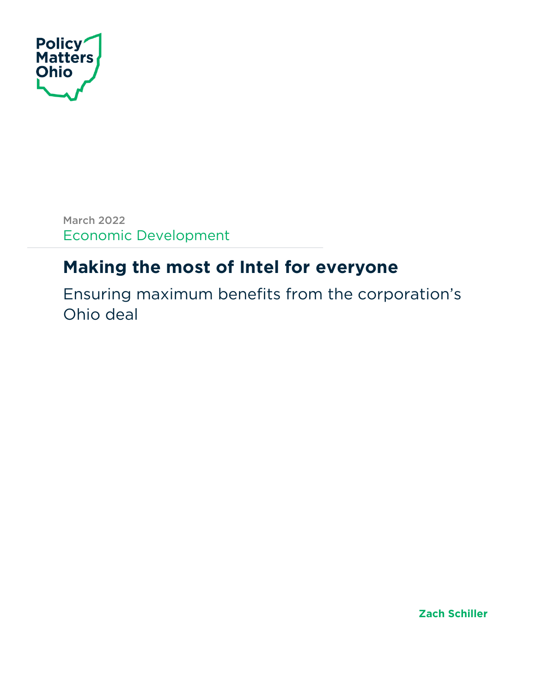

March 2022 Economic Development

# **Making the most of Intel for everyone**

Ensuring maximum benefits from the corporation's Ohio deal

**Zach Schiller**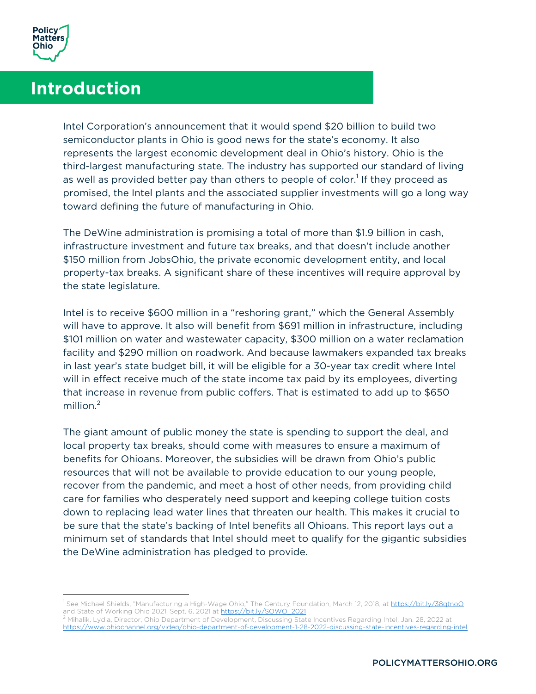

# **Introduction**

Intel Corporation's announcement that it would spend \$20 billion to build two semiconductor plants in Ohio is good news for the state's economy. It also represents the largest economic development deal in Ohio's history. Ohio is the third-largest manufacturing state. The industry has supported our standard of living as well as provided better pay than others to people of color.<sup>1</sup> If they proceed as promised, the Intel plants and the associated supplier investments will go a long way toward defining the future of manufacturing in Ohio.

The DeWine administration is promising a total of more than \$1.9 billion in cash, infrastructure investment and future tax breaks, and that doesn't include another \$150 million from JobsOhio, the private economic development entity, and local property-tax breaks. A significant share of these incentives will require approval by the state legislature.

Intel is to receive \$600 million in a "reshoring grant," which the General Assembly will have to approve. It also will benefit from \$691 million in infrastructure, including \$101 million on water and wastewater capacity, \$300 million on a water reclamation facility and \$290 million on roadwork. And because lawmakers expanded tax breaks in last year's state budget bill, it will be eligible for a 30-year tax credit where Intel will in effect receive much of the state income tax paid by its employees, diverting that increase in revenue from public coffers. That is estimated to add up to \$650 million. $2$ 

The giant amount of public money the state is spending to support the deal, and local property tax breaks, should come with measures to ensure a maximum of benefits for Ohioans. Moreover, the subsidies will be drawn from Ohio's public resources that will not be available to provide education to our young people, recover from the pandemic, and meet a host of other needs, from providing child care for families who desperately need support and keeping college tuition costs down to replacing lead water lines that threaten our health. This makes it crucial to be sure that the state's backing of Intel benefits all Ohioans. This report lays out a minimum set of standards that Intel should meet to qualify for the gigantic subsidies the DeWine administration has pledged to provide.

<sup>&</sup>lt;sup>1</sup> See Michael Shields, "Manufacturing a High-Wage Ohio," The Century Foundation, March 12, 2018, at https://bit.ly/38qtnoQ and State of Working Ohio 2021, Sept. 6, 2021 at https://bit.ly/SOWO\_2021

<sup>2</sup> Mihalik, Lydia, Director, Ohio Department of Development, Discussing State Incentives Regarding Intel, Jan. 28, 2022 at https://www.ohiochannel.org/video/ohio-department-of-development-1-28-2022-discussing-state-incentives-regarding-intel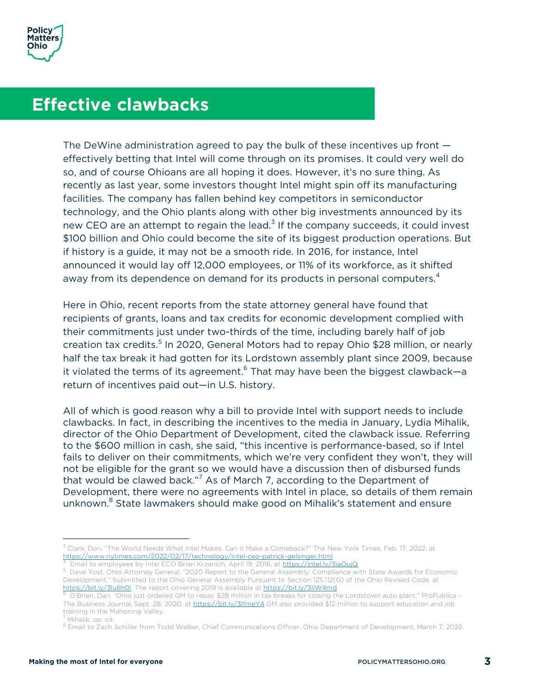## **Effective clawbacks**

The DeWine administration agreed to pay the bulk of these incentives up front effectively betting that Intel will come through on its promises. It could very well do so, and of course Ohioans are all hoping it does. However, it's no sure thing. As recently as last year, some investors thought Intel might spin off its manufacturing facilities. The company has fallen behind key competitors in semiconductor technology, and the Ohio plants along with other big investments announced by its new CEO are an attempt to regain the lead.<sup>3</sup> If the company succeeds, it could invest \$100 billion and Ohio could become the site of its biggest production operations. But if history is a guide, it may not be a smooth ride. In 2016, for instance, Intel announced it would lay off 12,000 employees, or 11% of its workforce, as it shifted away from its dependence on demand for its products in personal computers.<sup>4</sup>

Here in Ohio, recent reports from the state attorney general have found that recipients of grants, loans and tax credits for economic development complied with their commitments just under two-thirds of the time, including barely half of job creation tax credits.<sup>5</sup> In 2020, General Motors had to repay Ohio \$28 million, or nearly half the tax break it had gotten for its Lordstown assembly plant since 2009, because it violated the terms of its agreement. <sup>6</sup> That may have been the biggest clawback—a return of incentives paid out—in U.S. history.

All of which is good reason why a bill to provide Intel with support needs to include clawbacks. In fact, in describing the incentives to the media in January, Lydia Mihalik, director of the Ohio Department of Development, cited the clawback issue. Referring to the \$600 million in cash, she said, "this incentive is performance-based, so if Intel fails to deliver on their commitments, which we're very confident they won't, they will not be eligible for the grant so we would have a discussion then of disbursed funds that would be clawed back."<sup>7</sup> As of March 7, according to the Department of Development, there were no agreements with Intel in place, so details of them remain unknown.<sup>8</sup> State lawmakers should make good on Mihalik's statement and ensure

 $3$  Clark, Don, "The World Needs What Intel Makes. Can it Make a Comeback?" The New York Times, Feb. 17, 2022, at https://www.nytimes.com/2022/02/17/technology/intel-ceo-patrick-gelsinger.html <sup>4</sup>

Email to employees by Intel ECO Brian Krzanich, April 19, 2016, at https://intel.ly/3iaOujQ

<sup>5</sup> Dave Yost, Ohio Attorney General, "2020 Report to the General Assembly: Compliance with State Awards for Economic Development," Submitted to the Ohio General Assembly Pursuant to Section 125.112(G) of the Ohio Revised Code, at https://bit.ly/3lu6h0l. The report covering 2019 is available at https://bit.ly/3llW4md

<sup>6</sup> O'Brien, Dan, "Ohio just ordered GM to repay \$28 million in tax breaks for closing the Lordstown auto plant," ProPublica -The Business Journal, Sept. 28, 2020, at https://bit.ly/3IfmeY4 GM also provided \$12 million to support education and job training in the Mahoning Valley.

<sup>&</sup>lt;sup>7</sup> Mihalik, op. cit.<br><sup>8</sup> Email to Zach Schiller from Todd Walker, Chief Communications Officer, Ohio Department of Development, March 7, 2022.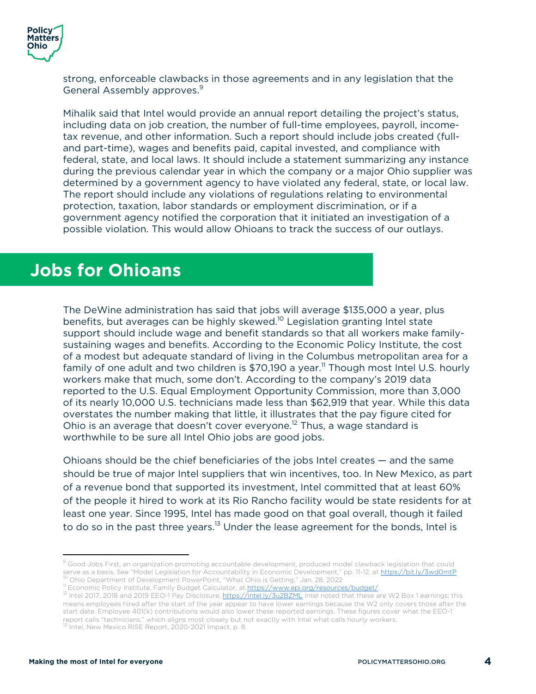

strong, enforceable clawbacks in those agreements and in any legislation that the General Assembly approves.<sup>9</sup>

Mihalik said that Intel would provide an annual report detailing the project's status, including data on job creation, the number of full-time employees, payroll, incometax revenue, and other information. Such a report should include jobs created (fulland part-time), wages and benefits paid, capital invested, and compliance with federal, state, and local laws. It should include a statement summarizing any instance during the previous calendar year in which the company or a major Ohio supplier was determined by a government agency to have violated any federal, state, or local law. The report should include any violations of regulations relating to environmental protection, taxation, labor standards or employment discrimination, or if a government agency notified the corporation that it initiated an investigation of a possible violation. This would allow Ohioans to track the success of our outlays.

#### **Jobs for Ohioans**

The DeWine administration has said that jobs will average \$135,000 a year, plus benefits, but averages can be highly skewed. <sup>10</sup> Legislation granting Intel state support should include wage and benefit standards so that all workers make familysustaining wages and benefits. According to the Economic Policy Institute, the cost of a modest but adequate standard of living in the Columbus metropolitan area for a family of one adult and two children is  $$70,190$  a year.<sup>11</sup> Though most Intel U.S. hourly workers make that much, some don't. According to the company's 2019 data reported to the U.S. Equal Employment Opportunity Commission, more than 3,000 of its nearly 10,000 U.S. technicians made less than \$62,919 that year. While this data overstates the number making that little, it illustrates that the pay figure cited for Ohio is an average that doesn't cover everyone.<sup>12</sup> Thus, a wage standard is worthwhile to be sure all Intel Ohio jobs are good jobs.

Ohioans should be the chief beneficiaries of the jobs Intel creates — and the same should be true of major Intel suppliers that win incentives, too. In New Mexico, as part of a revenue bond that supported its investment, Intel committed that at least 60% of the people it hired to work at its Rio Rancho facility would be state residents for at least one year. Since 1995, Intel has made good on that goal overall, though it failed to do so in the past three years.<sup>13</sup> Under the lease agreement for the bonds, Intel is

<sup>&</sup>lt;sup>9</sup> Good Jobs First, an organization promoting accountable development, produced model clawback legislation that could serve as a basis. See "Model Legislation for Accountability in Economic Development," pp. 11-12, at https://bit.ly/3wd0mtP<br><sup>10</sup> Ohio Department of Development PowerPoint, "What Ohio is Getting," Jan. 28, 2022<br><sup>11</sup> Economic

<sup>12</sup> Intel 2017, 2018 and 2019 EEO-1 Pay Disclosure, https://intel.ly/3u2BZML Intel noted that these are W2 Box 1 earnings; this means employees hired after the start of the year appear to have lower earnings because the W2 only covers those after the start date. Employee 401(k) contributions would also lower these reported earnings. These figures cover what the EEO-1 report calls "technicians," which aligns most closely but not exactly with Intel what calls hourly workers.<br><sup>13</sup> Intel, New Mexico RISE Report, 2020-2021 Impact, p. 8.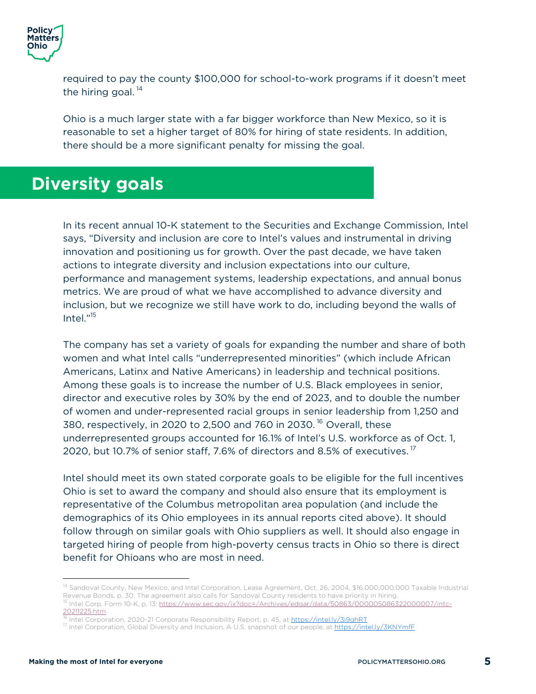

required to pay the county \$100,000 for school-to-work programs if it doesn't meet the hiring goal.  $14$ 

Ohio is a much larger state with a far bigger workforce than New Mexico, so it is reasonable to set a higher target of 80% for hiring of state residents. In addition, there should be a more significant penalty for missing the goal.

#### **Diversity goals**

In its recent annual 10-K statement to the Securities and Exchange Commission, Intel says, "Diversity and inclusion are core to Intel's values and instrumental in driving innovation and positioning us for growth. Over the past decade, we have taken actions to integrate diversity and inclusion expectations into our culture, performance and management systems, leadership expectations, and annual bonus metrics. We are proud of what we have accomplished to advance diversity and inclusion, but we recognize we still have work to do, including beyond the walls of Intel."<sup>15</sup>

The company has set a variety of goals for expanding the number and share of both women and what Intel calls "underrepresented minorities" (which include African Americans, Latinx and Native Americans) in leadership and technical positions. Among these goals is to increase the number of U.S. Black employees in senior, director and executive roles by 30% by the end of 2023, and to double the number of women and under-represented racial groups in senior leadership from 1,250 and 380, respectively, in 2020 to 2,500 and 760 in 2030. <sup>16</sup> Overall, these underrepresented groups accounted for 16.1% of Intel's U.S. workforce as of Oct. 1, 2020, but 10.7% of senior staff, 7.6% of directors and 8.5% of executives.<sup>17</sup>

Intel should meet its own stated corporate goals to be eligible for the full incentives Ohio is set to award the company and should also ensure that its employment is representative of the Columbus metropolitan area population (and include the demographics of its Ohio employees in its annual reports cited above). It should follow through on similar goals with Ohio suppliers as well. It should also engage in targeted hiring of people from high-poverty census tracts in Ohio so there is direct benefit for Ohioans who are most in need.

<sup>&</sup>lt;sup>14</sup> Sandoval County, New Mexico, and Intel Corporation, Lease Agreement, Oct. 26, 2004, \$16,000,000,000 Taxable Industrial Revenue Bonds, p. 30. The agreement also calls for Sandoval County residents to have priority in hiring.<br><sup>15</sup> Intel Corp. Form 10-K, p. 13: <u>https://www.sec.gov/ix?doc=/Archives/edgar/data/50863/000005086322000007/intc-</u> 20211225.htm

<sup>&</sup>lt;sup>16</sup> Intel Corporation, 2020-21 Corporate Responsibility Report, p. 45, at <u>https://intel.ly/3i9qhRT</u><br><sup>17</sup> Intel Corporation, Global Diversity and Inclusion, A U.S. snapshot of our people, at <u>https://intel.ly/3KNYmfF</u>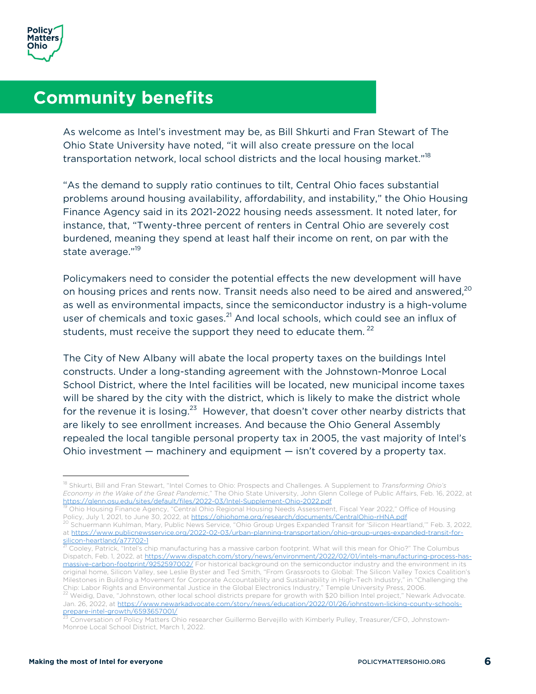

### **Community benefits**

As welcome as Intel's investment may be, as Bill Shkurti and Fran Stewart of The Ohio State University have noted, "it will also create pressure on the local transportation network, local school districts and the local housing market."<sup>18</sup>

"As the demand to supply ratio continues to tilt, Central Ohio faces substantial problems around housing availability, affordability, and instability," the Ohio Housing Finance Agency said in its 2021-2022 housing needs assessment. It noted later, for instance, that, "Twenty-three percent of renters in Central Ohio are severely cost burdened, meaning they spend at least half their income on rent, on par with the state average."<sup>19</sup>

Policymakers need to consider the potential effects the new development will have on housing prices and rents now. Transit needs also need to be aired and answered,  $^{20}$ as well as environmental impacts, since the semiconductor industry is a high-volume user of chemicals and toxic gases.<sup>21</sup> And local schools, which could see an influx of students, must receive the support they need to educate them.<sup>22</sup>

The City of New Albany will abate the local property taxes on the buildings Intel constructs. Under a long-standing agreement with the Johnstown-Monroe Local School District, where the Intel facilities will be located, new municipal income taxes will be shared by the city with the district, which is likely to make the district whole for the revenue it is losing.<sup>23</sup> However, that doesn't cover other nearby districts that are likely to see enrollment increases. And because the Ohio General Assembly repealed the local tangible personal property tax in 2005, the vast majority of Intel's Ohio investment — machinery and equipment — isn't covered by a property tax.

<sup>18</sup> Shkurti, Bill and Fran Stewart, "Intel Comes to Ohio: Prospects and Challenges. A Supplement to *Transforming Ohio's Economy in the Wake of the Great Pandemic*," The Ohio State University, John Glenn College of Public Affairs, Feb. 16, 2022, at

 $^\text{19}$  Ohio Housing Finance Agency, "Central Ohio Regional Housing Needs Assessment, Fiscal Year 2022," Office of Housing  $\,$ Policy, July 1, 2021, to June 30, 2022, at https://ohiohome.org/research/documents/CentralOhio-rHNA.pdf

<sup>&</sup>lt;sup>20</sup> Schuermann Kuhlman, Mary, Public News Service, "Ohio Group Urges Expanded Transit for 'Silicon Heartland," Feb. 3, 2022, at https://www.publicnewsservice.org/2022-02-03/urban-planning-transportation/ohio-group-urges-expanded-transit-for-<br>silicon-heartland/a77702-1

<sup>&</sup>lt;sup>21</sup> Cooley, Patrick, "Intel's chip manufacturing has a massive carbon footprint. What will this mean for Ohio?" The Columbus Dispatch, Feb. 1, 2022, at https://www.dispatch.com/story/news/environment/2022/02/01/intels-manufacturing-process-hasmassive-carbon-footprint/9252597002/ For historical background on the semiconductor industry and the environment in its original home, Silicon Valley, see Leslie Byster and Ted Smith, "From Grassroots to Global: The Silicon Valley Toxics Coalition's Milestones in Building a Movement for Corporate Accountability and Sustainability in High-Tech Industry," in "Challenging the<br>Chip: Labor Rights and Environmental Justice in the Global Electronics Industry," Temple Univers <sup>22</sup> Weidig, Dave, "Johnstown, other local school districts prepare for growth with \$20 billion Intel project," Newark Advocate. Jan. 26, 2022, at https://www.newarkadvocate.com/story/news/education/2022/01/26/johnstown-licking-county-schools-

prepare-intel-growth/6593657001/ <sup>23</sup> Conversation of Policy Matters Ohio researcher Guillermo Bervejillo with Kimberly Pulley, Treasurer/CFO, Johnstown-Monroe Local School District, March 1, 2022.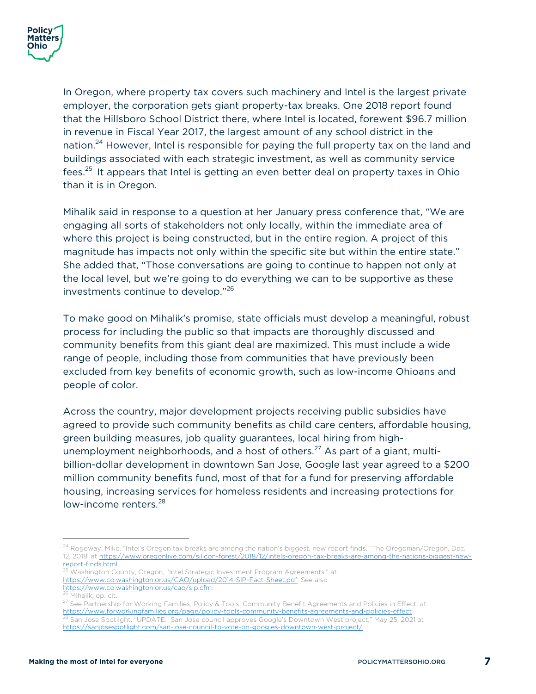In Oregon, where property tax covers such machinery and Intel is the largest private employer, the corporation gets giant property-tax breaks. One 2018 report found that the Hillsboro School District there, where Intel is located, forewent \$96.7 million in revenue in Fiscal Year 2017, the largest amount of any school district in the nation.<sup>24</sup> However, Intel is responsible for paying the full property tax on the land and buildings associated with each strategic investment, as well as community service fees.<sup>25</sup> It appears that Intel is getting an even better deal on property taxes in Ohio than it is in Oregon.

Mihalik said in response to a question at her January press conference that, "We are engaging all sorts of stakeholders not only locally, within the immediate area of where this project is being constructed, but in the entire region. A project of this magnitude has impacts not only within the specific site but within the entire state." She added that, "Those conversations are going to continue to happen not only at the local level, but we're going to do everything we can to be supportive as these investments continue to develop."<sup>26</sup>

To make good on Mihalik's promise, state officials must develop a meaningful, robust process for including the public so that impacts are thoroughly discussed and community benefits from this giant deal are maximized. This must include a wide range of people, including those from communities that have previously been excluded from key benefits of economic growth, such as low-income Ohioans and people of color.

Across the country, major development projects receiving public subsidies have agreed to provide such community benefits as child care centers, affordable housing, green building measures, job quality guarantees, local hiring from highunemployment neighborhoods, and a host of others.<sup>27</sup> As part of a giant, multibillion-dollar development in downtown San Jose, Google last year agreed to a \$200 million community benefits fund, most of that for a fund for preserving affordable housing, increasing services for homeless residents and increasing protections for low-income renters.<sup>28</sup>

<sup>25</sup> Washington County, Oregon, "Intel Strategic Investment Program Agreements," at https://www.co.washington.or.us/CAO/upload/2014-SIP-Fact-Sheet.pdf. See also<br>https://www.co.washington.or.us/cao/sip.cfm.

 $^{24}$  Rogoway, Mike, "Intel's Oregon tax breaks are among the nation's biggest, new report finds," The Oregonian/Oregon, Dec. 12, 2018, at https://www.oregonlive.com/silicon-forest/2018/12/intels-oregon-tax-breaks-are-among-the-nations-biggest-newreport-finds.html

<sup>&</sup>lt;sup>26</sup> Mihalik, op. cit.<br><sup>27</sup> See Partnership for Working Families, Policy & Tools: Community Benefit Agreements and Policies in Effect, at https://www.forworkingfamilies.org/page/policy-tools-community-benefits-agreements-and-policies-effect <sup>28</sup> San Jose Spotlight, "UPDATE: San Jose council approves Google's Downtown West project," May 25, 2021 at https://sanjosespotlight.com/san-jose-council-to-vote-on-googles-downtown-west-project/